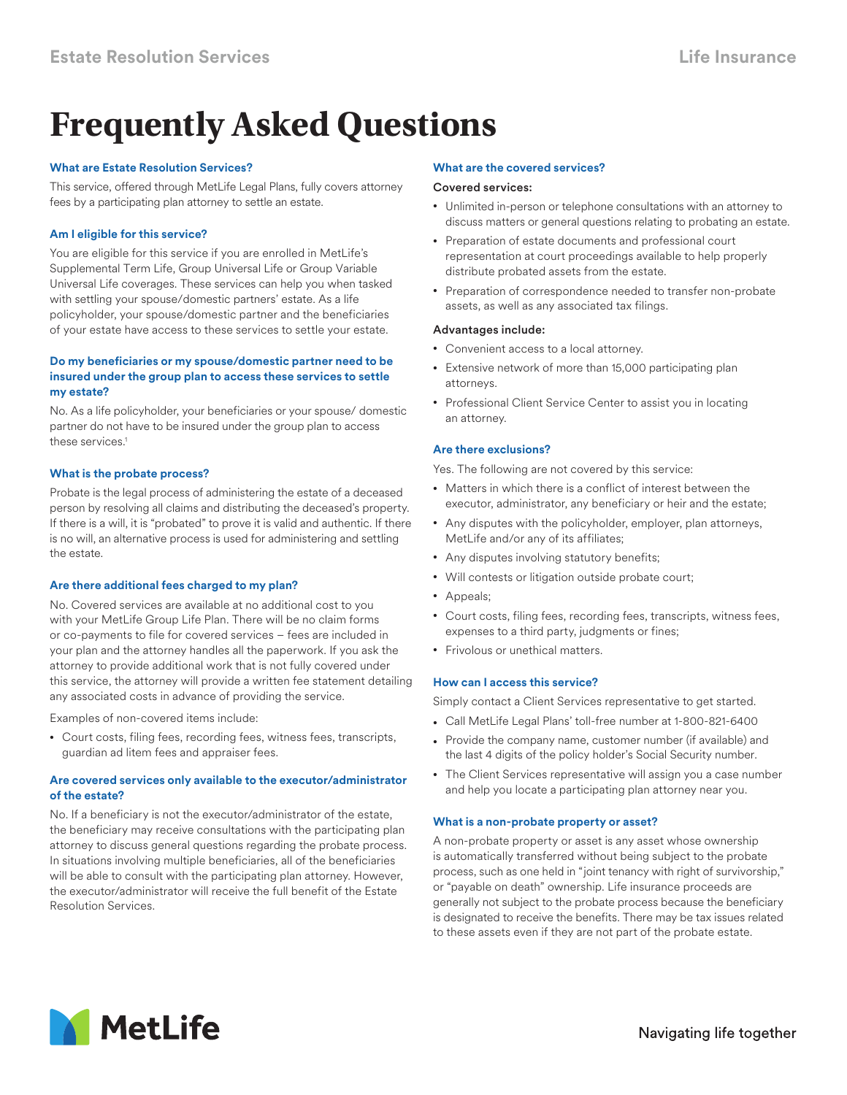# **Frequently Asked Questions**

# **What are Estate Resolution Services?**

This service, offered through MetLife Legal Plans, fully covers attorney fees by a participating plan attorney to settle an estate.

# **Am I eligible for this service?**

You are eligible for this service if you are enrolled in MetLife's Supplemental Term Life, Group Universal Life or Group Variable Universal Life coverages. These services can help you when tasked with settling your spouse/domestic partners' estate. As a life policyholder, your spouse/domestic partner and the beneficiaries of your estate have access to these services to settle your estate.

## **Do my beneficiaries or my spouse/domestic partner need to be insured under the group plan to access these services to settle my estate?**

No. As a life policyholder, your beneficiaries or your spouse/ domestic partner do not have to be insured under the group plan to access these services.<sup>1</sup>

## **What is the probate process?**

Probate is the legal process of administering the estate of a deceased person by resolving all claims and distributing the deceased's property. If there is a will, it is "probated" to prove it is valid and authentic. If there is no will, an alternative process is used for administering and settling the estate.

## **Are there additional fees charged to my plan?**

No. Covered services are available at no additional cost to you with your MetLife Group Life Plan. There will be no claim forms or co-payments to file for covered services – fees are included in your plan and the attorney handles all the paperwork. If you ask the attorney to provide additional work that is not fully covered under this service, the attorney will provide a written fee statement detailing any associated costs in advance of providing the service.

Examples of non-covered items include:

• Court costs, filing fees, recording fees, witness fees, transcripts, guardian ad litem fees and appraiser fees.

# **Are covered services only available to the executor/administrator of the estate?**

No. If a beneficiary is not the executor/administrator of the estate, the beneficiary may receive consultations with the participating plan attorney to discuss general questions regarding the probate process. In situations involving multiple beneficiaries, all of the beneficiaries will be able to consult with the participating plan attorney. However, the executor/administrator will receive the full benefit of the Estate Resolution Services.

# **What are the covered services?**

## Covered services:

- Unlimited in-person or telephone consultations with an attorney to discuss matters or general questions relating to probating an estate.
- Preparation of estate documents and professional court representation at court proceedings available to help properly distribute probated assets from the estate.
- Preparation of correspondence needed to transfer non-probate assets, as well as any associated tax filings.

## Advantages include:

- Convenient access to a local attorney.
- Extensive network of more than 15,000 participating plan attorneys.
- Professional Client Service Center to assist you in locating an attorney.

## **Are there exclusions?**

Yes. The following are not covered by this service:

- Matters in which there is a conflict of interest between the executor, administrator, any beneficiary or heir and the estate;
- Any disputes with the policyholder, employer, plan attorneys, MetLife and/or any of its affiliates;
- Any disputes involving statutory benefits;
- Will contests or litigation outside probate court;
- Appeals;
- Court costs, filing fees, recording fees, transcripts, witness fees, expenses to a third party, judgments or fines;
- Frivolous or unethical matters.

# **How can I access this service?**

Simply contact a Client Services representative to get started.

- Call MetLife Legal Plans' toll-free number at 1-800-821-6400
- Provide the company name, customer number (if available) and the last 4 digits of the policy holder's Social Security number.
- The Client Services representative will assign you a case number and help you locate a participating plan attorney near you.

## **What is a non-probate property or asset?**

A non-probate property or asset is any asset whose ownership is automatically transferred without being subject to the probate process, such as one held in "joint tenancy with right of survivorship," or "payable on death" ownership. Life insurance proceeds are generally not subject to the probate process because the beneficiary is designated to receive the benefits. There may be tax issues related to these assets even if they are not part of the probate estate.